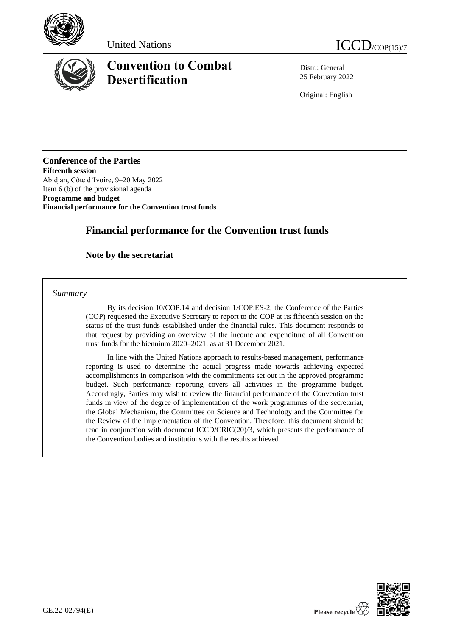





# **Convention to Combat Desertification**

Distr.: General 25 February 2022

Original: English

**Conference of the Parties Fifteenth session** Abidjan, Côte d'Ivoire, 9–20 May 2022 Item 6 (b) of the provisional agenda **Programme and budget Financial performance for the Convention trust funds**

## **Financial performance for the Convention trust funds**

## **Note by the secretariat**

*Summary*

By its decision 10/COP.14 and decision 1/COP.ES-2, the Conference of the Parties (COP) requested the Executive Secretary to report to the COP at its fifteenth session on the status of the trust funds established under the financial rules. This document responds to that request by providing an overview of the income and expenditure of all Convention trust funds for the biennium 2020–2021, as at 31 December 2021.

In line with the United Nations approach to results-based management, performance reporting is used to determine the actual progress made towards achieving expected accomplishments in comparison with the commitments set out in the approved programme budget. Such performance reporting covers all activities in the programme budget. Accordingly, Parties may wish to review the financial performance of the Convention trust funds in view of the degree of implementation of the work programmes of the secretariat, the Global Mechanism, the Committee on Science and Technology and the Committee for the Review of the Implementation of the Convention. Therefore, this document should be read in conjunction with document ICCD/CRIC(20)/3, which presents the performance of the Convention bodies and institutions with the results achieved.

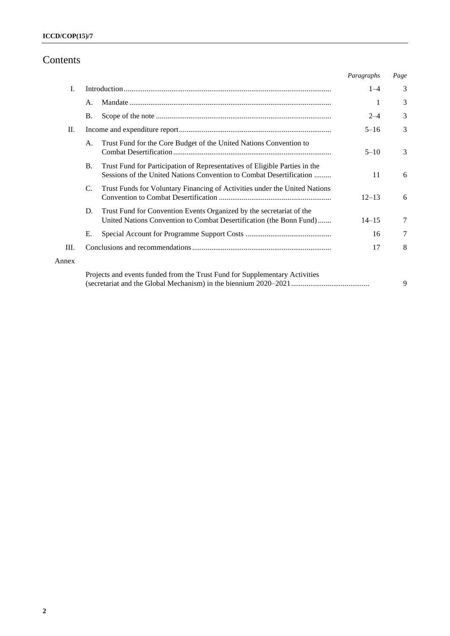## Contents

|       |           |                                                                                                                                                   | Paragraphs | Page |
|-------|-----------|---------------------------------------------------------------------------------------------------------------------------------------------------|------------|------|
| I.    |           |                                                                                                                                                   | $1 - 4$    | 3    |
|       | A.        |                                                                                                                                                   | 1          | 3    |
|       | <b>B.</b> |                                                                                                                                                   | $2 - 4$    | 3    |
| П.    |           |                                                                                                                                                   | $5 - 16$   | 3    |
|       | A.        | Trust Fund for the Core Budget of the United Nations Convention to                                                                                | $5 - 10$   | 3    |
|       | <b>B.</b> | Trust Fund for Participation of Representatives of Eligible Parties in the<br>Sessions of the United Nations Convention to Combat Desertification | 11         | 6    |
|       | C.        | Trust Funds for Voluntary Financing of Activities under the United Nations                                                                        | $12 - 13$  | 6    |
|       | D.        | Trust Fund for Convention Events Organized by the secretariat of the<br>United Nations Convention to Combat Desertification (the Bonn Fund)       | $14 - 15$  | 7    |
|       | Е.        |                                                                                                                                                   | 16         | 7    |
| III.  |           |                                                                                                                                                   | 17         | 8    |
| Annex |           |                                                                                                                                                   |            |      |
|       |           | Projects and events funded from the Trust Fund for Supplementary Activities                                                                       |            | 9    |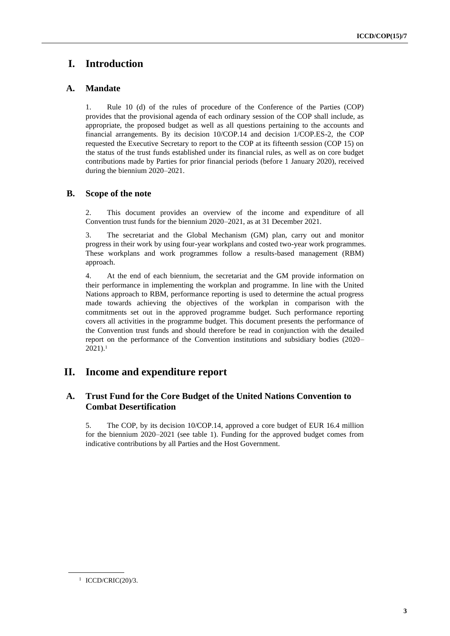## **I. Introduction**

### **A. Mandate**

1. Rule 10 (d) of the rules of procedure of the Conference of the Parties (COP) provides that the provisional agenda of each ordinary session of the COP shall include, as appropriate, the proposed budget as well as all questions pertaining to the accounts and financial arrangements. By its decision 10/COP.14 and decision 1/COP.ES-2, the COP requested the Executive Secretary to report to the COP at its fifteenth session (COP 15) on the status of the trust funds established under its financial rules, as well as on core budget contributions made by Parties for prior financial periods (before 1 January 2020), received during the biennium 2020–2021.

### **B. Scope of the note**

2. This document provides an overview of the income and expenditure of all Convention trust funds for the biennium 2020–2021, as at 31 December 2021.

3. The secretariat and the Global Mechanism (GM) plan, carry out and monitor progress in their work by using four-year workplans and costed two-year work programmes. These workplans and work programmes follow a results-based management (RBM) approach.

4. At the end of each biennium, the secretariat and the GM provide information on their performance in implementing the workplan and programme. In line with the United Nations approach to RBM, performance reporting is used to determine the actual progress made towards achieving the objectives of the workplan in comparison with the commitments set out in the approved programme budget. Such performance reporting covers all activities in the programme budget. This document presents the performance of the Convention trust funds and should therefore be read in conjunction with the detailed report on the performance of the Convention institutions and subsidiary bodies (2020– 2021).<sup>1</sup>

## **II. Income and expenditure report**

### **A. Trust Fund for the Core Budget of the United Nations Convention to Combat Desertification**

5. The COP, by its decision 10/COP.14, approved a core budget of EUR 16.4 million for the biennium 2020–2021 (see table 1). Funding for the approved budget comes from indicative contributions by all Parties and the Host Government.

<sup>&</sup>lt;sup>1</sup> ICCD/CRIC(20)/3.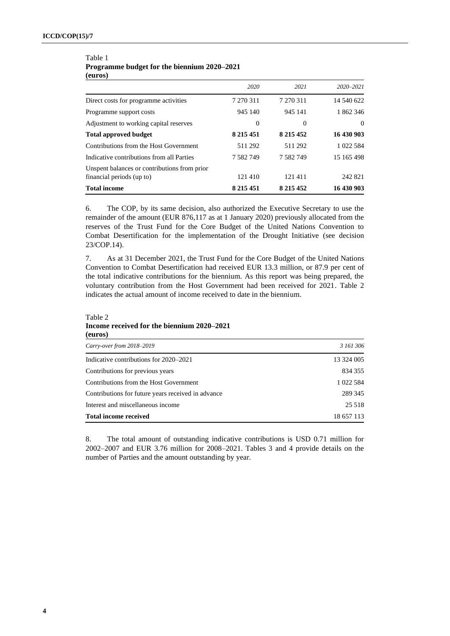#### Table 1 **Programme budget for the biennium 2020–2021 (euros)**

|                                                                           | 2020           | 2021          | 2020-2021  |
|---------------------------------------------------------------------------|----------------|---------------|------------|
| Direct costs for programme activities                                     | 7 270 311      | 7 270 311     | 14 540 622 |
| Programme support costs                                                   | 945 140        | 945 141       | 1 862 346  |
| Adjustment to working capital reserves                                    | $\overline{0}$ | $\Omega$      | $\theta$   |
| <b>Total approved budget</b>                                              | 8 2 1 5 4 5 1  | 8 2 1 5 4 5 2 | 16 430 903 |
| Contributions from the Host Government                                    | 511 292        | 511 292       | 1 022 584  |
| Indicative contributions from all Parties                                 | 7 582 749      | 7 5 8 2 7 4 9 | 15 165 498 |
| Unspent balances or contributions from prior<br>financial periods (up to) | 121 410        | 121411        | 242 821    |
| <b>Total income</b>                                                       | 8 2 1 5 4 5 1  | 8 2 1 5 4 5 2 | 16 430 903 |

6. The COP, by its same decision, also authorized the Executive Secretary to use the remainder of the amount (EUR 876,117 as at 1 January 2020) previously allocated from the reserves of the Trust Fund for the Core Budget of the United Nations Convention to Combat Desertification for the implementation of the Drought Initiative (see decision 23/COP.14).

7. As at 31 December 2021, the Trust Fund for the Core Budget of the United Nations Convention to Combat Desertification had received EUR 13.3 million, or 87.9 per cent of the total indicative contributions for the biennium. As this report was being prepared, the voluntary contribution from the Host Government had been received for 2021. Table 2 indicates the actual amount of income received to date in the biennium.

Table 2 **Income received for the biennium 2020–2021 (euros)**

| Carry-over from 2018-2019                          | 3 161 306  |
|----------------------------------------------------|------------|
| Indicative contributions for 2020–2021             | 13 324 005 |
| Contributions for previous years                   | 834 355    |
| Contributions from the Host Government             | 1 022 584  |
| Contributions for future years received in advance | 289 345    |
| Interest and miscellaneous income                  | 25 5 18    |
| <b>Total income received</b>                       | 18 657 113 |

8. The total amount of outstanding indicative contributions is USD 0.71 million for 2002–2007 and EUR 3.76 million for 2008–2021. Tables 3 and 4 provide details on the number of Parties and the amount outstanding by year.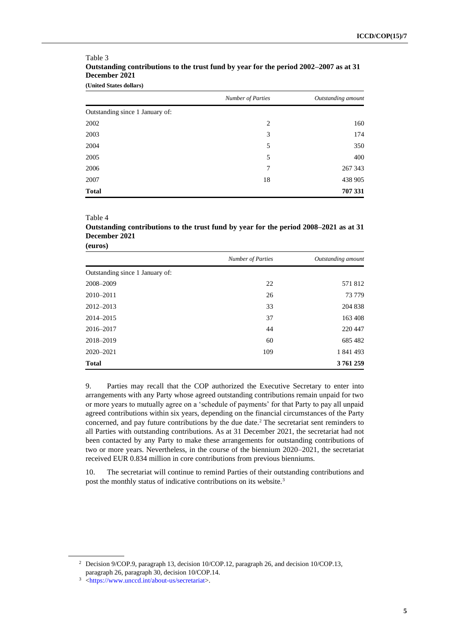|                                 | <b>Number of Parties</b> | Outstanding amount |
|---------------------------------|--------------------------|--------------------|
| Outstanding since 1 January of: |                          |                    |
| 2002                            | 2                        | 160                |
| 2003                            | 3                        | 174                |
| 2004                            | 5                        | 350                |
| 2005                            | 5                        | 400                |
| 2006                            | 7                        | 267 343            |
| 2007                            | 18                       | 438 905            |
| <b>Total</b>                    |                          | 707 331            |

#### Table 3 **Outstanding contributions to the trust fund by year for the period 2002–2007 as at 31 December 2021 (United States dollars)**

#### Table 4

#### **Outstanding contributions to the trust fund by year for the period 2008–2021 as at 31 December 2021 (euros)**

|                                 | <b>Number of Parties</b> | Outstanding amount |
|---------------------------------|--------------------------|--------------------|
| Outstanding since 1 January of: |                          |                    |
| 2008-2009                       | 22                       | 571812             |
| 2010-2011                       | 26                       | 73 779             |
| 2012-2013                       | 33                       | 204 838            |
| 2014-2015                       | 37                       | 163 408            |
| 2016-2017                       | 44                       | 220 447            |
| 2018-2019                       | 60                       | 685 482            |
| 2020-2021                       | 109                      | 1 841 493          |
| <b>Total</b>                    |                          | 3761259            |

9. Parties may recall that the COP authorized the Executive Secretary to enter into arrangements with any Party whose agreed outstanding contributions remain unpaid for two or more years to mutually agree on a 'schedule of payments' for that Party to pay all unpaid agreed contributions within six years, depending on the financial circumstances of the Party concerned, and pay future contributions by the due date.<sup>2</sup> The secretariat sent reminders to all Parties with outstanding contributions. As at 31 December 2021, the secretariat had not been contacted by any Party to make these arrangements for outstanding contributions of two or more years. Nevertheless, in the course of the biennium 2020–2021, the secretariat received EUR 0.834 million in core contributions from previous bienniums.

10. The secretariat will continue to remind Parties of their outstanding contributions and post the monthly status of indicative contributions on its website.<sup>3</sup>

<sup>2</sup> Decision 9/COP.9, paragraph 13, decision 10/COP.12, paragraph 26, and decision 10/COP.13, paragraph 26, paragraph 30, decision 10/COP.14.

<sup>3</sup> [<https://www.unccd.int/about-us/secretariat>](https://www.unccd.int/about-us/secretariat).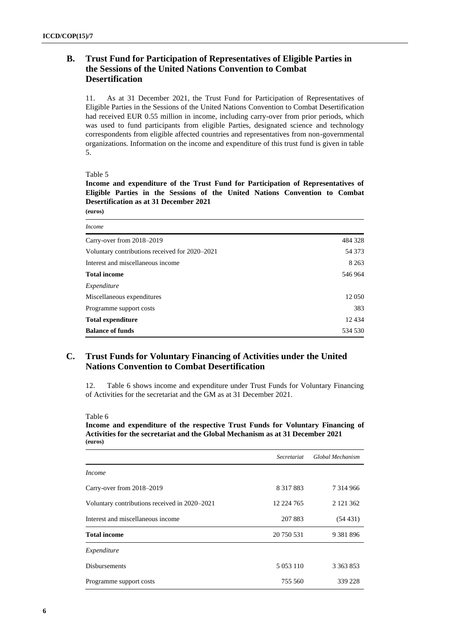### **B. Trust Fund for Participation of Representatives of Eligible Parties in the Sessions of the United Nations Convention to Combat Desertification**

11. As at 31 December 2021, the Trust Fund for Participation of Representatives of Eligible Parties in the Sessions of the United Nations Convention to Combat Desertification had received EUR 0.55 million in income, including carry-over from prior periods, which was used to fund participants from eligible Parties, designated science and technology correspondents from eligible affected countries and representatives from non-governmental organizations. Information on the income and expenditure of this trust fund is given in table 5.

Table 5

**Income and expenditure of the Trust Fund for Participation of Representatives of Eligible Parties in the Sessions of the United Nations Convention to Combat Desertification as at 31 December 2021 (euros)**

| <i>Income</i>                                  |         |
|------------------------------------------------|---------|
| Carry-over from 2018–2019                      | 484 328 |
| Voluntary contributions received for 2020–2021 | 54 373  |
| Interest and miscellaneous income              | 8 2 6 3 |
| <b>Total income</b>                            | 546 964 |
| Expenditure                                    |         |
| Miscellaneous expenditures                     | 12 050  |
| Programme support costs                        | 383     |
| <b>Total expenditure</b>                       | 12434   |
| <b>Balance of funds</b>                        | 534 530 |

### **C. Trust Funds for Voluntary Financing of Activities under the United Nations Convention to Combat Desertification**

12. Table 6 shows income and expenditure under Trust Funds for Voluntary Financing of Activities for the secretariat and the GM as at 31 December 2021.

Table 6

#### **Income and expenditure of the respective Trust Funds for Voluntary Financing of Activities for the secretariat and the Global Mechanism as at 31 December 2021 (euros)**

|                                               | Secretariat   | Global Mechanism |
|-----------------------------------------------|---------------|------------------|
| <i>Income</i>                                 |               |                  |
| Carry-over from 2018-2019                     | 8 3 1 7 8 8 3 | 7 3 1 4 9 6 6    |
| Voluntary contributions received in 2020–2021 | 12 224 765    | 2 121 362        |
| Interest and miscellaneous income             | 207 883       | (54431)          |
| <b>Total income</b>                           | 20 750 531    | 9 3 8 1 8 9 6    |
| Expenditure                                   |               |                  |
| <b>Disbursements</b>                          | 5 0 53 1 10   | 3 3 6 3 8 5 3    |
| Programme support costs                       | 755 560       | 339 228          |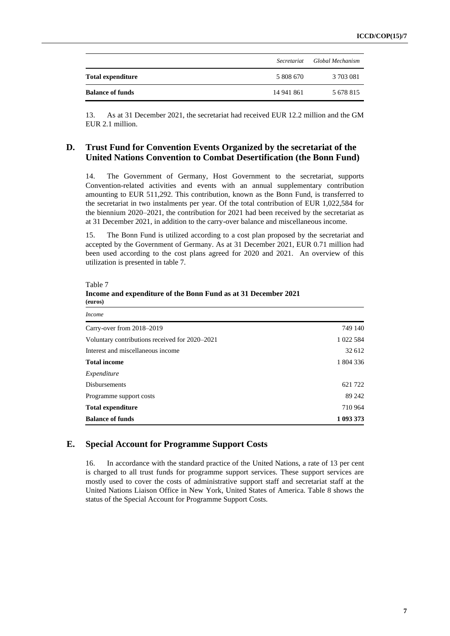|                          | Secretariat |           |
|--------------------------|-------------|-----------|
| <b>Total expenditure</b> | 5 808 670   | 3 703 081 |
| <b>Balance of funds</b>  | 14 941 861  | 5 678 815 |

13. As at 31 December 2021, the secretariat had received EUR 12.2 million and the GM EUR 2.1 million.

### **D. Trust Fund for Convention Events Organized by the secretariat of the United Nations Convention to Combat Desertification (the Bonn Fund)**

14. The Government of Germany, Host Government to the secretariat, supports Convention-related activities and events with an annual supplementary contribution amounting to EUR 511,292. This contribution, known as the Bonn Fund, is transferred to the secretariat in two instalments per year. Of the total contribution of EUR 1,022,584 for the biennium 2020–2021, the contribution for 2021 had been received by the secretariat as at 31 December 2021, in addition to the carry-over balance and miscellaneous income.

15. The Bonn Fund is utilized according to a cost plan proposed by the secretariat and accepted by the Government of Germany. As at 31 December 2021, EUR 0.71 million had been used according to the cost plans agreed for 2020 and 2021. An overview of this utilization is presented in table 7.

Table 7

**Income and expenditure of the Bonn Fund as at 31 December 2021 (euros)**

| <i>Income</i>                                  |           |
|------------------------------------------------|-----------|
| Carry-over from 2018–2019                      | 749 140   |
| Voluntary contributions received for 2020–2021 | 1 022 584 |
| Interest and miscellaneous income              | 32 612    |
| <b>Total income</b>                            | 1 804 336 |
| Expenditure                                    |           |
| <b>Disbursements</b>                           | 621 722   |
| Programme support costs                        | 89 24 2   |
| <b>Total expenditure</b>                       | 710 964   |
| <b>Balance of funds</b>                        | 1 093 373 |

#### **E. Special Account for Programme Support Costs**

16. In accordance with the standard practice of the United Nations, a rate of 13 per cent is charged to all trust funds for programme support services. These support services are mostly used to cover the costs of administrative support staff and secretariat staff at the United Nations Liaison Office in New York, United States of America. Table 8 shows the status of the Special Account for Programme Support Costs.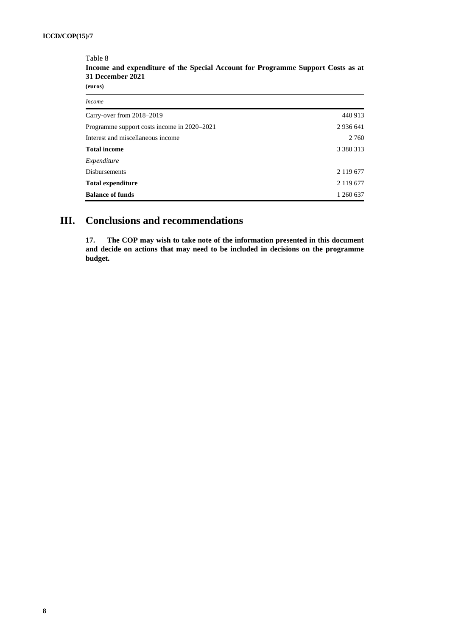#### Table 8

**Income and expenditure of the Special Account for Programme Support Costs as at 31 December 2021** 

**(euros)**

| 440 913       |
|---------------|
| 2 9 3 6 6 4 1 |
| 2 7 6 0       |
| 3 3 8 0 3 1 3 |
|               |
| 2 1 1 9 6 7 7 |
| 2 119 677     |
| 1 260 637     |
|               |

## **III. Conclusions and recommendations**

**17. The COP may wish to take note of the information presented in this document and decide on actions that may need to be included in decisions on the programme budget.**